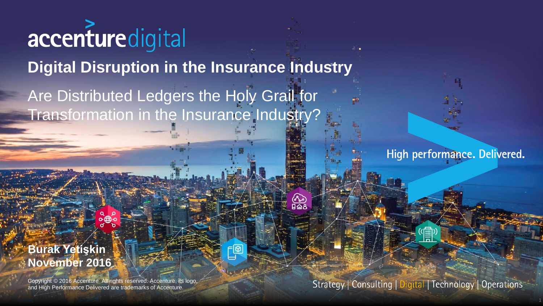# accenturedigital

**Digital Disruption in the Insurance Industry** 

<u>୍ବ</u>

Are Distributed Ledgers the Holy Grail for Transformation in the Insurance Industry?

High performance. Delivered.

#### **Burak Yetişkin November 2016**

Copyright © 2016 Accenture All rights reserved. Accenture, its logo, and High Performance Delivered are trademarks of Accenture.

Strategy | Consulting | Digital | Technology | Operations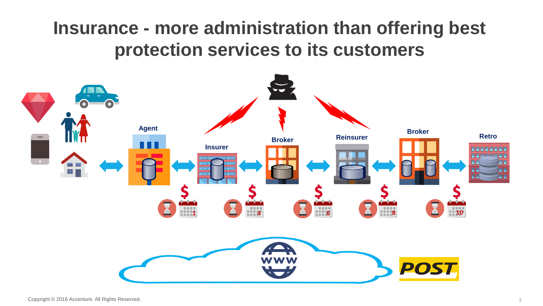## **Insurance - more administration than offering best protection services to its customers**

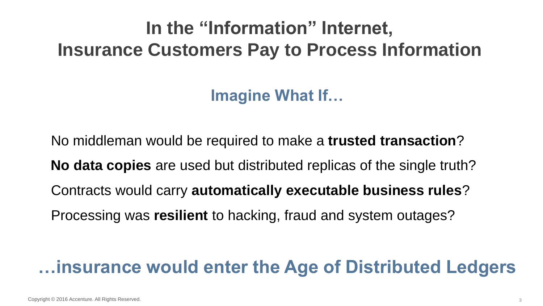# **In the "Information" Internet, Insurance Customers Pay to Process Information**

**Imagine What If…**

No middleman would be required to make a **trusted transaction**?

**No data copies** are used but distributed replicas of the single truth?

Contracts would carry **automatically executable business rules**?

Processing was **resilient** to hacking, fraud and system outages??

#### **…insurance would enter the Age of Distributed Ledgers**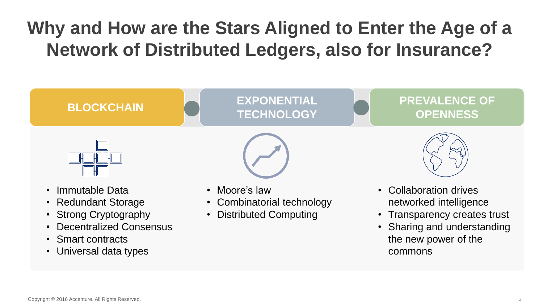# **Why and How are the Stars Aligned to Enter the Age of a Network of Distributed Ledgers, also for Insurance?**



- Redundant Storage
- **Strong Cryptography**
- Decentralized Consensus
- Smart contracts
- Universal data types
- Moore's law
- Combinatorial technology
- Distributed Computing
- Collaboration drives networked intelligence
- Transparency creates trust
- Sharing and understanding the new power of the commons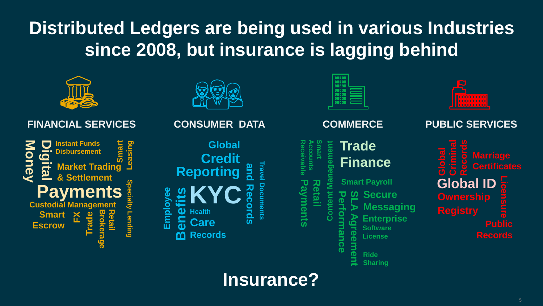## **Distributed Ledgers are being used in various Industries since 2008, but insurance is lagging behind**



**Insurance?**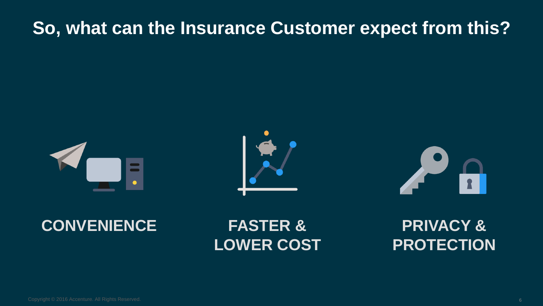### **So, what can the Insurance Customer expect from this?**







#### **CONVENIENCE FASTER &**

# **LOWER COST**

**PRIVACY & PROTECTION**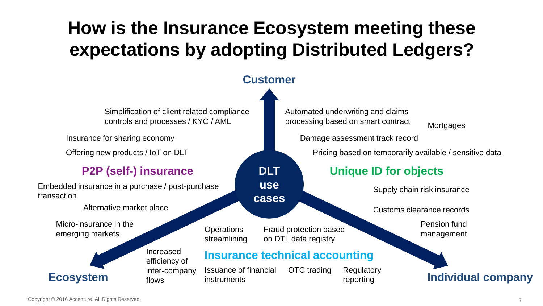# **How is the Insurance Ecosystem meeting these expectations by adopting Distributed Ledgers?**